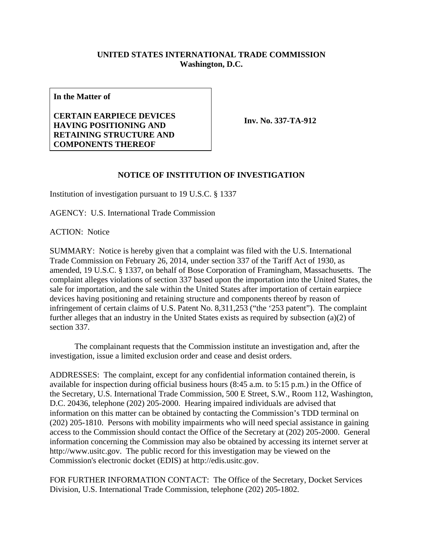## **UNITED STATES INTERNATIONAL TRADE COMMISSION Washington, D.C.**

**In the Matter of** 

## **CERTAIN EARPIECE DEVICES HAVING POSITIONING AND RETAINING STRUCTURE AND COMPONENTS THEREOF**

**Inv. No. 337-TA-912**

## **NOTICE OF INSTITUTION OF INVESTIGATION**

Institution of investigation pursuant to 19 U.S.C. § 1337

AGENCY: U.S. International Trade Commission

ACTION: Notice

SUMMARY: Notice is hereby given that a complaint was filed with the U.S. International Trade Commission on February 26, 2014, under section 337 of the Tariff Act of 1930, as amended, 19 U.S.C. § 1337, on behalf of Bose Corporation of Framingham, Massachusetts. The complaint alleges violations of section 337 based upon the importation into the United States, the sale for importation, and the sale within the United States after importation of certain earpiece devices having positioning and retaining structure and components thereof by reason of infringement of certain claims of U.S. Patent No. 8,311,253 ("the '253 patent"). The complaint further alleges that an industry in the United States exists as required by subsection (a)(2) of section 337.

 The complainant requests that the Commission institute an investigation and, after the investigation, issue a limited exclusion order and cease and desist orders.

ADDRESSES: The complaint, except for any confidential information contained therein, is available for inspection during official business hours (8:45 a.m. to 5:15 p.m.) in the Office of the Secretary, U.S. International Trade Commission, 500 E Street, S.W., Room 112, Washington, D.C. 20436, telephone (202) 205-2000. Hearing impaired individuals are advised that information on this matter can be obtained by contacting the Commission's TDD terminal on (202) 205-1810. Persons with mobility impairments who will need special assistance in gaining access to the Commission should contact the Office of the Secretary at (202) 205-2000. General information concerning the Commission may also be obtained by accessing its internet server at http://www.usitc.gov. The public record for this investigation may be viewed on the Commission's electronic docket (EDIS) at http://edis.usitc.gov.

FOR FURTHER INFORMATION CONTACT: The Office of the Secretary, Docket Services Division, U.S. International Trade Commission, telephone (202) 205-1802.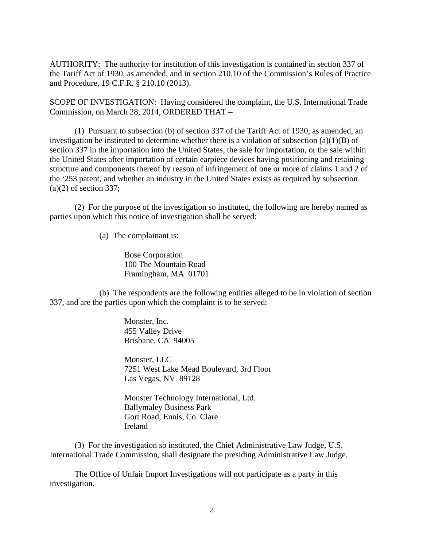AUTHORITY: The authority for institution of this investigation is contained in section 337 of the Tariff Act of 1930, as amended, and in section 210.10 of the Commission's Rules of Practice and Procedure, 19 C.F.R. § 210.10 (2013).

SCOPE OF INVESTIGATION: Having considered the complaint, the U.S. International Trade Commission, on March 28, 2014, ORDERED THAT –

 (1) Pursuant to subsection (b) of section 337 of the Tariff Act of 1930, as amended, an investigation be instituted to determine whether there is a violation of subsection  $(a)(1)(B)$  of section 337 in the importation into the United States, the sale for importation, or the sale within the United States after importation of certain earpiece devices having positioning and retaining structure and components thereof by reason of infringement of one or more of claims 1 and 2 of the '253 patent, and whether an industry in the United States exists as required by subsection  $(a)(2)$  of section 337;

 (2) For the purpose of the investigation so instituted, the following are hereby named as parties upon which this notice of investigation shall be served:

(a) The complainant is:

Bose Corporation 100 The Mountain Road Framingham, MA 01701

 (b) The respondents are the following entities alleged to be in violation of section 337, and are the parties upon which the complaint is to be served:

> Monster, Inc. 455 Valley Drive Brisbane, CA 94005

Monster, LLC 7251 West Lake Mead Boulevard, 3rd Floor Las Vegas, NV 89128

 Monster Technology International, Ltd. Ballymaley Business Park Gort Road, Ennis, Co. Clare Ireland

 (3) For the investigation so instituted, the Chief Administrative Law Judge, U.S. International Trade Commission, shall designate the presiding Administrative Law Judge.

 The Office of Unfair Import Investigations will not participate as a party in this investigation.